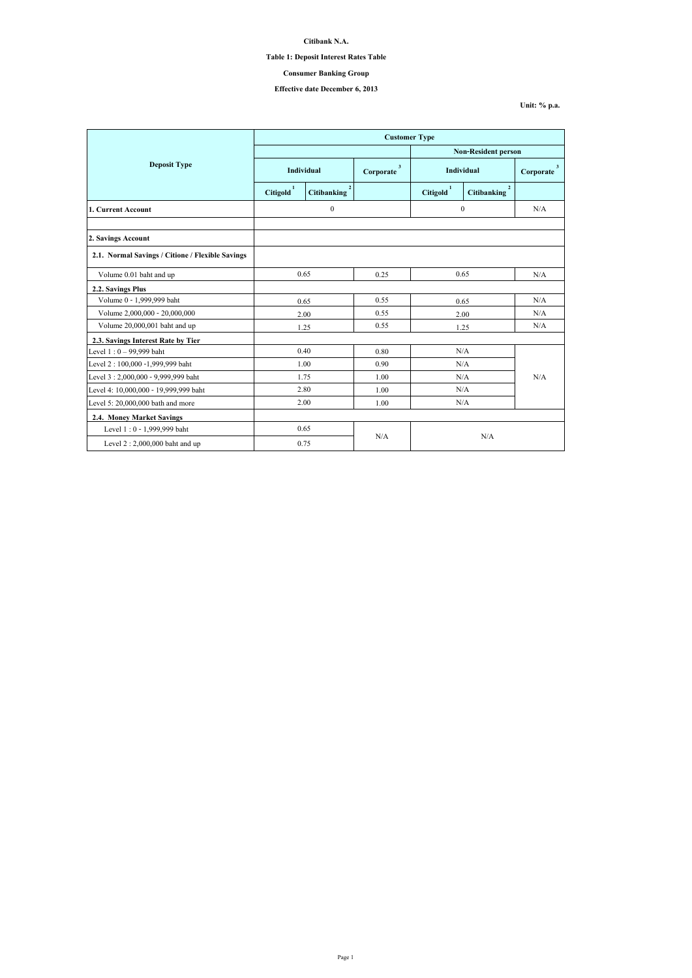**Unit: % p.a.**

|                                                  | <b>Customer Type</b>  |                                      |                           |                            |                                      |                           |  |
|--------------------------------------------------|-----------------------|--------------------------------------|---------------------------|----------------------------|--------------------------------------|---------------------------|--|
|                                                  |                       |                                      |                           | <b>Non-Resident person</b> |                                      |                           |  |
| <b>Deposit Type</b>                              | Individual            |                                      | $\mathbf{3}$<br>Corporate | <b>Individual</b>          |                                      | $\mathbf{3}$<br>Corporate |  |
|                                                  | Citigold <sup>1</sup> | $\overline{2}$<br><b>Citibanking</b> |                           | Citigold <sup>1</sup>      | $\overline{2}$<br><b>Citibanking</b> |                           |  |
| 1. Current Account                               | $\boldsymbol{0}$      |                                      |                           | $\boldsymbol{0}$           |                                      | N/A                       |  |
|                                                  |                       |                                      |                           |                            |                                      |                           |  |
| 2. Savings Account                               |                       |                                      |                           |                            |                                      |                           |  |
| 2.1. Normal Savings / Citione / Flexible Savings |                       |                                      |                           |                            |                                      |                           |  |
| Volume 0.01 baht and up                          | 0.65                  |                                      | 0.25                      | 0.65                       |                                      | N/A                       |  |
| 2.2. Savings Plus                                |                       |                                      |                           |                            |                                      |                           |  |
| Volume 0 - 1,999,999 baht                        | 0.65                  |                                      | 0.55                      | 0.65                       |                                      | N/A                       |  |
| Volume 2,000,000 - 20,000,000                    |                       | 2.00                                 | 0.55                      | 2.00                       |                                      | N/A                       |  |
| Volume 20,000,001 baht and up                    |                       | 1.25                                 | 0.55                      | 1.25                       |                                      | N/A                       |  |
| 2.3. Savings Interest Rate by Tier               |                       |                                      |                           |                            |                                      |                           |  |
| Level $1:0 - 99,999$ baht                        |                       | 0.40                                 | 0.80                      | N/A                        |                                      | N/A                       |  |
| Level 2:100,000 -1,999,999 baht                  |                       | 1.00                                 | 0.90                      | N/A                        |                                      |                           |  |
| Level 3:2,000,000 - 9,999,999 baht               |                       | 1.75                                 | 1.00                      | N/A                        |                                      |                           |  |
| Level 4: 10,000,000 - 19,999,999 baht            | 2.80                  |                                      | 1.00                      | N/A                        |                                      |                           |  |
| Level 5: 20,000,000 bath and more                | 2.00                  |                                      | 1.00                      | N/A                        |                                      |                           |  |
| 2.4. Money Market Savings                        |                       |                                      |                           |                            |                                      |                           |  |
| Level 1:0 - 1,999,999 baht                       | 0.65                  |                                      |                           |                            |                                      |                           |  |
| Level $2:2,000,000$ baht and up                  | N/A<br>0.75           |                                      | N/A                       |                            |                                      |                           |  |

**Citibank N.A.**

## **Table 1: Deposit Interest Rates Table**

# **Effective date December 6, 2013**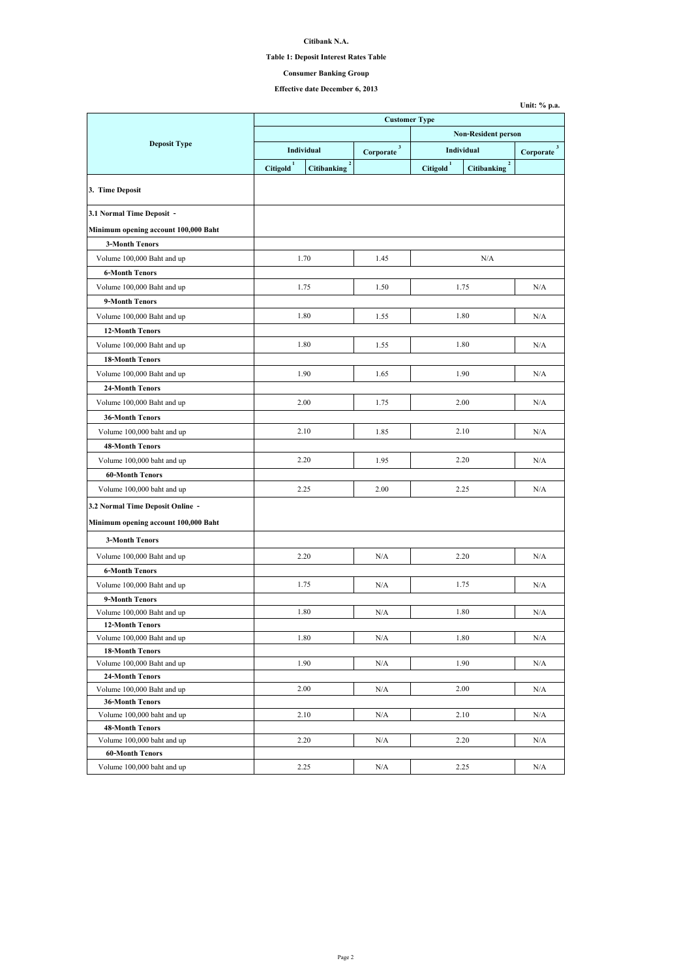## **Table 1: Deposit Interest Rates Table**

# **Effective date December 6, 2013**

|                                                      | <b>Customer Type</b>                        |                           |                            |                                      |                          |  |
|------------------------------------------------------|---------------------------------------------|---------------------------|----------------------------|--------------------------------------|--------------------------|--|
|                                                      |                                             |                           | <b>Non-Resident person</b> |                                      |                          |  |
| <b>Deposit Type</b>                                  | <b>Individual</b>                           | $\mathbf{3}$<br>Corporate | Individual                 |                                      | $3^{\circ}$<br>Corporate |  |
|                                                      | Citigold <sup>1</sup><br><b>Citibanking</b> | $\overline{2}$            | Citigold <sup>1</sup>      | $\overline{2}$<br><b>Citibanking</b> |                          |  |
| 3. Time Deposit                                      |                                             |                           |                            |                                      |                          |  |
| 3.1 Normal Time Deposit -                            |                                             |                           |                            |                                      |                          |  |
| Minimum opening account 100,000 Baht                 |                                             |                           |                            |                                      |                          |  |
| <b>3-Month Tenors</b>                                |                                             |                           |                            |                                      |                          |  |
| Volume 100,000 Baht and up                           | 1.70                                        | 1.45                      |                            | N/A                                  |                          |  |
| <b>6-Month Tenors</b>                                |                                             |                           |                            |                                      |                          |  |
| Volume 100,000 Baht and up                           | 1.75                                        | 1.50                      | 1.75                       |                                      | N/A                      |  |
| 9-Month Tenors                                       |                                             |                           |                            |                                      |                          |  |
| Volume 100,000 Baht and up                           | 1.80                                        | 1.55                      | 1.80                       |                                      | N/A                      |  |
| <b>12-Month Tenors</b>                               |                                             |                           |                            |                                      |                          |  |
| Volume 100,000 Baht and up                           | 1.80                                        | 1.55                      | 1.80                       |                                      | N/A                      |  |
| <b>18-Month Tenors</b>                               |                                             |                           |                            |                                      |                          |  |
| Volume 100,000 Baht and up                           | 1.90                                        | 1.65                      |                            |                                      | N/A                      |  |
| <b>24-Month Tenors</b>                               |                                             |                           | 1.90                       |                                      |                          |  |
|                                                      |                                             |                           |                            |                                      |                          |  |
| Volume 100,000 Baht and up                           | 2.00                                        | 1.75                      | 2.00                       |                                      | N/A                      |  |
| <b>36-Month Tenors</b>                               |                                             |                           |                            |                                      |                          |  |
| Volume 100,000 baht and up                           | 2.10                                        | 1.85                      | 2.10                       |                                      | N/A                      |  |
| <b>48-Month Tenors</b>                               |                                             |                           |                            |                                      |                          |  |
| Volume 100,000 baht and up                           | 2.20                                        | 1.95                      | 2.20                       |                                      | N/A                      |  |
| <b>60-Month Tenors</b>                               |                                             |                           |                            |                                      |                          |  |
| Volume 100,000 baht and up                           | 2.25                                        | 2.00                      | 2.25                       |                                      | N/A                      |  |
| 3.2 Normal Time Deposit Online -                     |                                             |                           |                            |                                      |                          |  |
| Minimum opening account 100,000 Baht                 |                                             |                           |                            |                                      |                          |  |
| <b>3-Month Tenors</b>                                |                                             |                           |                            |                                      |                          |  |
| Volume 100,000 Baht and up                           | 2.20                                        | N/A                       | 2.20                       |                                      | N/A                      |  |
| <b>6-Month Tenors</b>                                |                                             |                           |                            |                                      |                          |  |
| Volume 100,000 Baht and up                           | 1.75                                        | N/A                       | 1.75                       |                                      | N/A                      |  |
| 9-Month Tenors                                       |                                             |                           |                            |                                      |                          |  |
| Volume 100,000 Baht and up                           | 1.80                                        | N/A                       | 1.80                       |                                      | N/A                      |  |
| <b>12-Month Tenors</b>                               |                                             |                           |                            |                                      |                          |  |
| Volume 100,000 Baht and up                           | 1.80                                        | N/A                       | 1.80                       |                                      | N/A                      |  |
| <b>18-Month Tenors</b>                               |                                             |                           |                            |                                      |                          |  |
| Volume 100,000 Baht and up                           | 1.90                                        | N/A                       | 1.90                       |                                      | N/A                      |  |
| <b>24-Month Tenors</b>                               |                                             |                           |                            |                                      |                          |  |
| Volume 100,000 Baht and up                           | 2.00                                        | N/A                       | 2.00                       |                                      | N/A                      |  |
| <b>36-Month Tenors</b>                               |                                             |                           |                            |                                      |                          |  |
| Volume 100,000 baht and up<br><b>48-Month Tenors</b> | 2.10                                        | N/A                       | 2.10                       |                                      | N/A                      |  |
| Volume 100,000 baht and up                           | 2.20                                        | N/A                       | 2.20                       |                                      | N/A                      |  |
| <b>60-Month Tenors</b>                               |                                             |                           |                            |                                      |                          |  |
| Volume 100,000 baht and up                           | 2.25                                        | N/A                       | 2.25                       |                                      | N/A                      |  |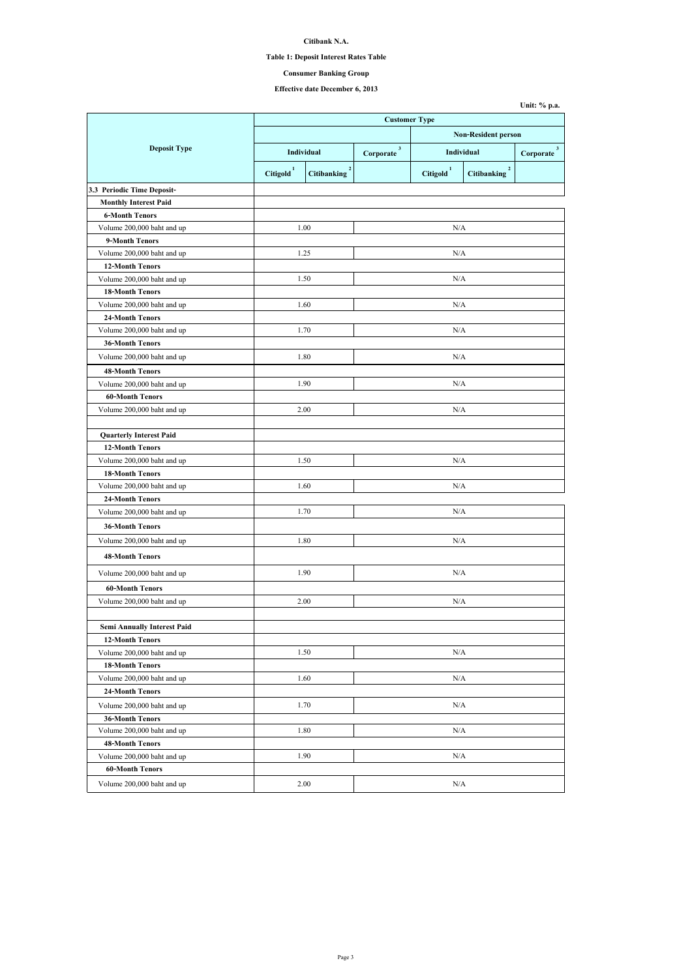## **Table 1: Deposit Interest Rates Table**

# **Effective date December 6, 2013**

|                                    | <b>Customer Type</b>  |                                      |                            |                       |                                      |                           |  |  |
|------------------------------------|-----------------------|--------------------------------------|----------------------------|-----------------------|--------------------------------------|---------------------------|--|--|
|                                    |                       |                                      | <b>Non-Resident person</b> |                       |                                      |                           |  |  |
| <b>Deposit Type</b>                | Individual            |                                      | $\mathbf{3}$<br>Corporate  | <b>Individual</b>     |                                      | $\mathbf{3}$<br>Corporate |  |  |
|                                    | Citigold <sup>1</sup> | $\overline{2}$<br><b>Citibanking</b> |                            | Citigold <sup>1</sup> | $\overline{2}$<br><b>Citibanking</b> |                           |  |  |
| 3.3 Periodic Time Deposit-         |                       |                                      |                            |                       |                                      |                           |  |  |
| <b>Monthly Interest Paid</b>       |                       |                                      |                            |                       |                                      |                           |  |  |
| <b>6-Month Tenors</b>              |                       |                                      |                            |                       |                                      |                           |  |  |
| Volume 200,000 baht and up         |                       | 1.00                                 |                            | N/A                   |                                      |                           |  |  |
| 9-Month Tenors                     |                       |                                      |                            |                       |                                      |                           |  |  |
| Volume 200,000 baht and up         | 1.25                  |                                      |                            | N/A                   |                                      |                           |  |  |
| <b>12-Month Tenors</b>             |                       |                                      |                            |                       |                                      |                           |  |  |
| Volume 200,000 baht and up         |                       | 1.50                                 |                            | N/A                   |                                      |                           |  |  |
| <b>18-Month Tenors</b>             |                       |                                      |                            |                       |                                      |                           |  |  |
| Volume 200,000 baht and up         |                       | 1.60                                 |                            | N/A                   |                                      |                           |  |  |
| <b>24-Month Tenors</b>             |                       |                                      |                            |                       |                                      |                           |  |  |
| Volume 200,000 baht and up         |                       | 1.70                                 |                            | N/A                   |                                      |                           |  |  |
| <b>36-Month Tenors</b>             |                       |                                      |                            |                       |                                      |                           |  |  |
| Volume 200,000 baht and up         |                       | 1.80                                 |                            | N/A                   |                                      |                           |  |  |
| <b>48-Month Tenors</b>             |                       |                                      |                            |                       |                                      |                           |  |  |
| Volume 200,000 baht and up         |                       | 1.90                                 |                            | N/A                   |                                      |                           |  |  |
| <b>60-Month Tenors</b>             |                       |                                      |                            |                       |                                      |                           |  |  |
| Volume 200,000 baht and up         |                       | 2.00                                 | N/A                        |                       |                                      |                           |  |  |
|                                    |                       |                                      |                            |                       |                                      |                           |  |  |
| <b>Quarterly Interest Paid</b>     |                       |                                      |                            |                       |                                      |                           |  |  |
| <b>12-Month Tenors</b>             |                       |                                      |                            |                       |                                      |                           |  |  |
| Volume 200,000 baht and up         |                       | 1.50                                 |                            | N/A                   |                                      |                           |  |  |
| <b>18-Month Tenors</b>             |                       |                                      |                            |                       |                                      |                           |  |  |
| Volume 200,000 baht and up         |                       | 1.60                                 |                            | N/A                   |                                      |                           |  |  |
| <b>24-Month Tenors</b>             |                       |                                      |                            |                       |                                      |                           |  |  |
| Volume 200,000 baht and up         |                       | 1.70                                 |                            | N/A                   |                                      |                           |  |  |
| <b>36-Month Tenors</b>             |                       |                                      |                            |                       |                                      |                           |  |  |
| Volume 200,000 baht and up         |                       | 1.80                                 | N/A                        |                       |                                      |                           |  |  |
| <b>48-Month Tenors</b>             |                       |                                      |                            |                       |                                      |                           |  |  |
| Volume 200,000 baht and up         |                       | 1.90                                 |                            | N/A                   |                                      |                           |  |  |
| <b>60-Month Tenors</b>             |                       |                                      |                            |                       |                                      |                           |  |  |
| Volume 200,000 baht and up         |                       | 2.00                                 |                            | N/A                   |                                      |                           |  |  |
|                                    |                       |                                      |                            |                       |                                      |                           |  |  |
| <b>Semi Annually Interest Paid</b> |                       |                                      |                            |                       |                                      |                           |  |  |
| <b>12-Month Tenors</b>             |                       |                                      |                            |                       |                                      |                           |  |  |
| Volume 200,000 baht and up         |                       | 1.50                                 |                            | N/A                   |                                      |                           |  |  |
| <b>18-Month Tenors</b>             |                       |                                      |                            |                       |                                      |                           |  |  |
| Volume 200,000 baht and up         |                       | 1.60                                 |                            | N/A                   |                                      |                           |  |  |
| <b>24-Month Tenors</b>             |                       |                                      |                            |                       |                                      |                           |  |  |
| Volume 200,000 baht and up         |                       | 1.70                                 | N/A                        |                       |                                      |                           |  |  |
| <b>36-Month Tenors</b>             |                       |                                      |                            |                       |                                      |                           |  |  |
| Volume 200,000 baht and up         |                       | 1.80                                 |                            | N/A                   |                                      |                           |  |  |
| <b>48-Month Tenors</b>             |                       |                                      |                            |                       |                                      |                           |  |  |
| Volume 200,000 baht and up         |                       | 1.90                                 |                            | N/A                   |                                      |                           |  |  |
| <b>60-Month Tenors</b>             |                       |                                      |                            |                       |                                      |                           |  |  |
| Volume 200,000 baht and up         |                       | 2.00                                 |                            | N/A                   |                                      |                           |  |  |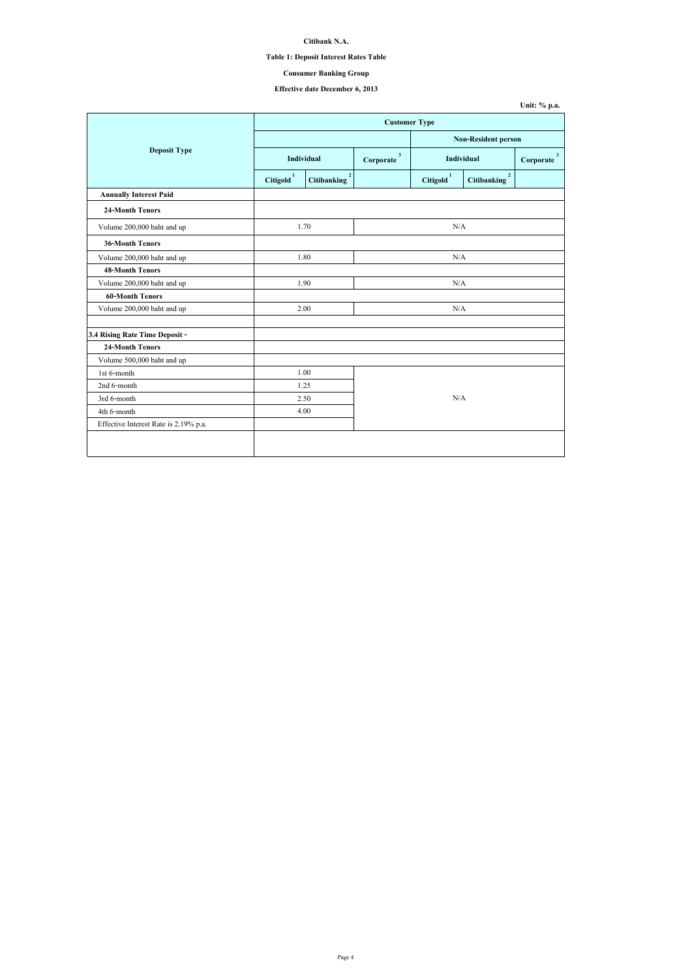| Unit: $%$ p.a. |  |  |
|----------------|--|--|
|----------------|--|--|

## **Table 1: Deposit Interest Rates Table**

# **Effective date December 6, 2013**

|                                       | <b>Customer Type</b>  |                                      |                           |                       |                                      |                           |
|---------------------------------------|-----------------------|--------------------------------------|---------------------------|-----------------------|--------------------------------------|---------------------------|
|                                       |                       |                                      |                           |                       | <b>Non-Resident person</b>           |                           |
| <b>Deposit Type</b>                   | Individual            |                                      | $\mathbf{3}$<br>Corporate | Individual            |                                      | $\mathbf{3}$<br>Corporate |
|                                       | Citigold <sup>1</sup> | $\overline{2}$<br><b>Citibanking</b> |                           | Citigold <sup>1</sup> | $\overline{2}$<br><b>Citibanking</b> |                           |
| <b>Annually Interest Paid</b>         |                       |                                      |                           |                       |                                      |                           |
| <b>24-Month Tenors</b>                |                       |                                      |                           |                       |                                      |                           |
| Volume 200,000 baht and up            | 1.70                  |                                      |                           | N/A                   |                                      |                           |
| <b>36-Month Tenors</b>                |                       |                                      |                           |                       |                                      |                           |
| Volume 200,000 baht and up            | 1.80                  |                                      | N/A                       |                       |                                      |                           |
| <b>48-Month Tenors</b>                |                       |                                      |                           |                       |                                      |                           |
| Volume 200,000 baht and up            | 1.90                  |                                      | N/A                       |                       |                                      |                           |
| <b>60-Month Tenors</b>                |                       |                                      |                           |                       |                                      |                           |
| Volume 200,000 baht and up            | 2.00                  |                                      |                           | N/A                   |                                      |                           |
|                                       |                       |                                      |                           |                       |                                      |                           |
| 3.4 Rising Rate Time Deposit -        |                       |                                      |                           |                       |                                      |                           |
| <b>24-Month Tenors</b>                |                       |                                      |                           |                       |                                      |                           |
| Volume 500,000 baht and up            |                       |                                      |                           |                       |                                      |                           |
| 1st 6-month                           | 1.00                  |                                      |                           |                       |                                      |                           |
| 2nd 6-month                           | 1.25                  |                                      |                           |                       |                                      |                           |
| 3rd 6-month                           | 2.50                  |                                      |                           | N/A                   |                                      |                           |
| 4th 6-month                           | 4.00                  |                                      |                           |                       |                                      |                           |
| Effective Interest Rate is 2.19% p.a. |                       |                                      |                           |                       |                                      |                           |
|                                       |                       |                                      |                           |                       |                                      |                           |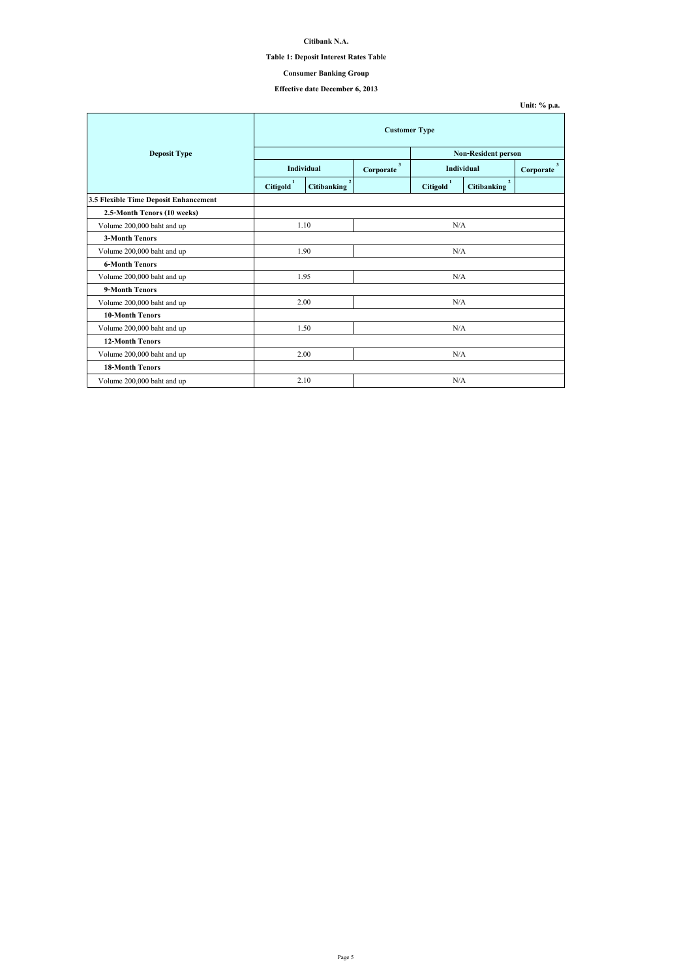# **Table 1: Deposit Interest Rates Table**

# **Effective date December 6, 2013**

|                                       | <b>Customer Type</b>  |                                      |                           |                       |                                   |                             |  |
|---------------------------------------|-----------------------|--------------------------------------|---------------------------|-----------------------|-----------------------------------|-----------------------------|--|
| <b>Deposit Type</b>                   |                       |                                      |                           |                       | <b>Non-Resident person</b>        |                             |  |
|                                       | <b>Individual</b>     |                                      | $\mathbf{3}$<br>Corporate | <b>Individual</b>     |                                   | 3 <sup>1</sup><br>Corporate |  |
|                                       | Citigold <sup>1</sup> | $\overline{2}$<br><b>Citibanking</b> |                           | Citigold <sup>1</sup> | $2^{\circ}$<br><b>Citibanking</b> |                             |  |
| 3.5 Flexible Time Deposit Enhancement |                       |                                      |                           |                       |                                   |                             |  |
| 2.5-Month Tenors (10 weeks)           |                       |                                      |                           |                       |                                   |                             |  |
| Volume 200,000 baht and up            | 1.10                  |                                      | N/A                       |                       |                                   |                             |  |
| <b>3-Month Tenors</b>                 |                       |                                      |                           |                       |                                   |                             |  |
| Volume 200,000 baht and up            | 1.90                  |                                      | N/A                       |                       |                                   |                             |  |
| <b>6-Month Tenors</b>                 |                       |                                      |                           |                       |                                   |                             |  |
| Volume 200,000 baht and up            |                       | 1.95                                 | N/A                       |                       |                                   |                             |  |
| <b>9-Month Tenors</b>                 |                       |                                      |                           |                       |                                   |                             |  |
| Volume 200,000 baht and up            |                       | 2.00                                 |                           | N/A                   |                                   |                             |  |
| <b>10-Month Tenors</b>                |                       |                                      |                           |                       |                                   |                             |  |
| Volume 200,000 baht and up            | 1.50                  |                                      | N/A                       |                       |                                   |                             |  |
| <b>12-Month Tenors</b>                |                       |                                      |                           |                       |                                   |                             |  |
| Volume 200,000 baht and up            |                       | 2.00                                 | N/A                       |                       |                                   |                             |  |
| <b>18-Month Tenors</b>                |                       |                                      |                           |                       |                                   |                             |  |
| Volume 200,000 baht and up            |                       | 2.10                                 |                           | N/A                   |                                   |                             |  |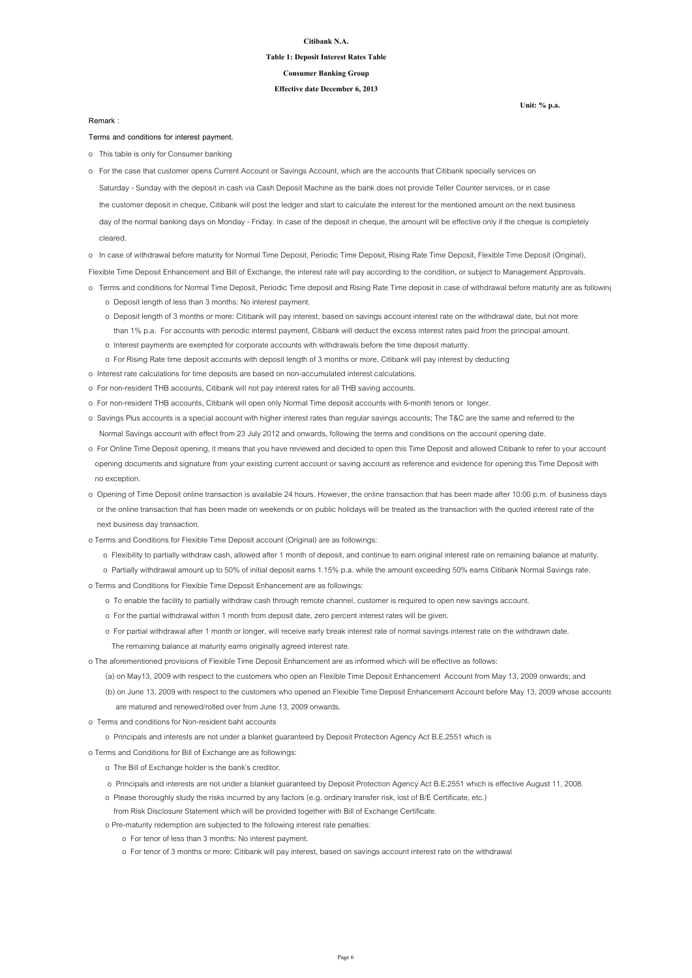**Unit: % p.a.**

#### **Citibank N.A.**

#### **Table 1: Deposit Interest Rates Table**

**Effective date December 6, 2013**

**Consumer Banking Group**

**Terms and conditions for interest payment.**

o This table is only for Consumer banking

o In case of withdrawal before maturity for Normal Time Deposit, Periodic Time Deposit, Rising Rate Time Deposit, Flexible Time Deposit (Original),

Flexible Time Deposit Enhancement and Bill of Exchange, the interest rate will pay according to the condition, or subject to Management Approvals.

- o Terms and conditions for Normal Time Deposit, Periodic Time deposit and Rising Rate Time deposit in case of withdrawal before maturity are as following
	- o Deposit length of less than 3 months: No interest payment.
	- o Deposit length of 3 months or more: Citibank will pay interest, based on savings account interest rate on the withdrawal date, but not more than 1% p.a. For accounts with periodic interest payment, Citibank will deduct the excess interest rates paid from the principal amount.
	- o Interest payments are exempted for corporate accounts with withdrawals before the time deposit maturity.
	- o For Rising Rate time deposit accounts with deposit length of 3 months or more, Citibank will pay interest by deducting
- o Interest rate calculations for time deposits are based on non-accumulated interest calculations.
- o For non-resident THB accounts, Citibank will not pay interest rates for all THB saving accounts.
- o For non-resident THB accounts, Citibank will open only Normal Time deposit accounts with 6-month tenors or longer.
- o Savings Plus accounts is a special account with higher interest rates than regular savings accounts; The T&C are the same and referred to the Normal Savings account with effect from 23 July 2012 and onwards, following the terms and conditions on the account opening date.
- o For Online Time Deposit opening, it means that you have reviewed and decided to open this Time Deposit and allowed Citibank to refer to your account opening documents and signature from your existing current account or saving account as reference and evidence for opening this Time Deposit with no exception.
- o Opening of Time Deposit online transaction is available 24 hours. However, the online transaction that has been made after 10:00 p.m. of business days or the online transaction that has been made on weekends or on public holidays will be treated as the transaction with the quoted interest rate of the

 Saturday - Sunday with the deposit in cash via Cash Deposit Machine as the bank does not provide Teller Counter services, or in case the customer deposit in cheque, Citibank will post the ledger and start to calculate the interest for the mentioned amount on the next business day of the normal banking days on Monday - Friday. In case of the deposit in cheque, the amount will be effective only if the cheque is completely cleared. o For the case that customer opens Current Account or Savings Account, which are the accounts that Citibank specially services on

next business day transaction.

- o Terms and Conditions for Flexible Time Deposit account (Original) are as followings:
	- o Flexibility to partially withdraw cash, allowed after 1 month of deposit, and continue to earn original interest rate on remaining balance at maturity.
	- o Partially withdrawal amount up to 50% of initial deposit earns 1.15% p.a. while the amount exceeding 50% earns Citibank Normal Savings rate.
- o Terms and Conditions for Flexible Time Deposit Enhancement are as followings:
	- o To enable the facility to partially withdraw cash through remote channel, customer is required to open new savings account.
	- o For the partial withdrawal within 1 month from deposit date, zero percent interest rates will be given.
	- o For partial withdrawal after 1 month or longer, will receive early break interest rate of normal savings interest rate on the withdrawn date.
		- The remaining balance at maturity earns originally agreed interest rate.
- o The aforementioned provisions of Flexible Time Deposit Enhancement are as informed which will be effective as follows:
	- (a) on May13, 2009 with respect to the customers who open an Flexible Time Deposit Enhancement Account from May 13, 2009 onwards; and
	- (b) on June 13, 2009 with respect to the customers who opened an Flexible Time Deposit Enhancement Account before May 13, 2009 whose accounts are matured and renewed/rolled over from June 13, 2009 onwards.
- o Terms and conditions for Non-resident baht accounts
	- o Principals and interests are not under a blanket guaranteed by Deposit Protection Agency Act B.E.2551 which is
- o Terms and Conditions for Bill of Exchange are as followings:
	- o The Bill of Exchange holder is the bank's creditor.
	- o Principals and interests are not under a blanket guaranteed by Deposit Protection Agency Act B.E.2551 which is effective August 11, 2008.
	- o Please thoroughly study the risks incurred by any factors (e.g. ordinary transfer risk, lost of B/E Certificate, etc.)
	- from Risk Disclosure Statement which will be provided together with Bill of Exchange Certificate.
	- o Pre-maturity redemption are subjected to the following interest rate penalties:
		- o For tenor of less than 3 months: No interest payment.
		- o For tenor of 3 months or more: Citibank will pay interest, based on savings account interest rate on the withdrawal

**Remark :**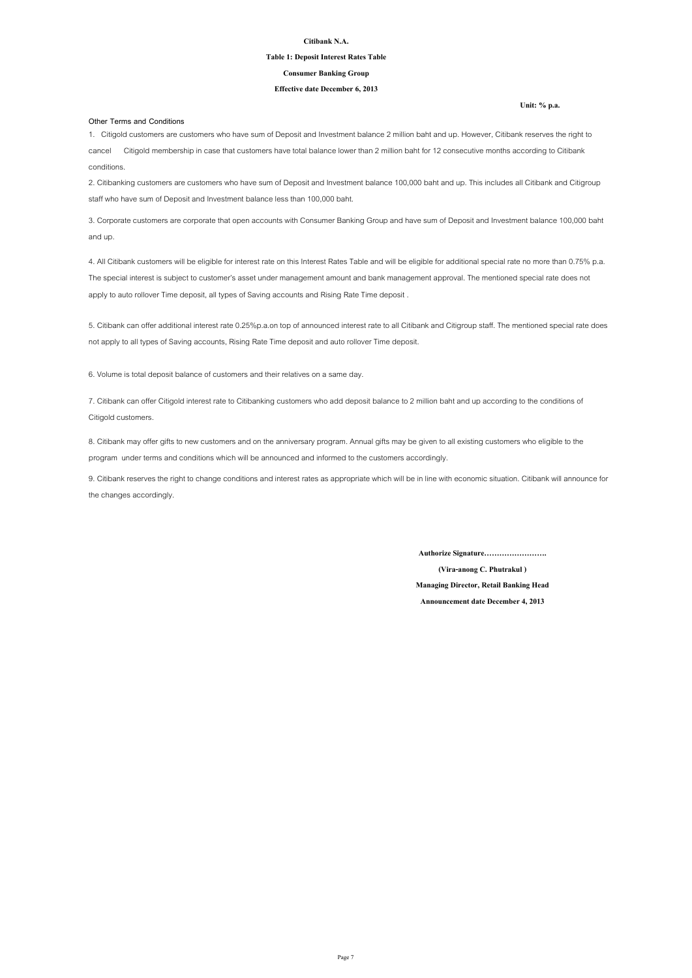**Unit: % p.a.**

#### **Citibank N.A.**

#### **Table 1: Deposit Interest Rates Table**

#### **Effective date December 6, 2013**

#### **Consumer Banking Group**

#### **Other Terms and Conditions**

8. Citibank may offer gifts to new customers and on the anniversary program. Annual gifts may be given to all existing customers who eligible to the program under terms and conditions which will be announced and informed to the customers accordingly.

9. Citibank reserves the right to change conditions and interest rates as appropriate which will be in line with economic situation. Citibank will announce for the changes accordingly.

1. Citigold customers are customers who have sum of Deposit and Investment balance 2 million baht and up. However, Citibank reserves the right to cancel Citigold membership in case that customers have total balance lower than 2 million baht for 12 consecutive months according to Citibank conditions.

2. Citibanking customers are customers who have sum of Deposit and Investment balance 100,000 baht and up. This includes all Citibank and Citigroup staff who have sum of Deposit and Investment balance less than 100,000 baht.

3. Corporate customers are corporate that open accounts with Consumer Banking Group and have sum of Deposit and Investment balance 100,000 baht and up.

4. All Citibank customers will be eligible for interest rate on this Interest Rates Table and will be eligible for additional special rate no more than 0.75% p.a. The special interest is subject to customer's asset under management amount and bank management approval. The mentioned special rate does not apply to auto rollover Time deposit, all types of Saving accounts and Rising Rate Time deposit .

5. Citibank can offer additional interest rate 0.25%p.a.on top of announced interest rate to all Citibank and Citigroup staff. The mentioned special rate does not apply to all types of Saving accounts, Rising Rate Time deposit and auto rollover Time deposit.

7. Citibank can offer Citigold interest rate to Citibanking customers who add deposit balance to 2 million baht and up according to the conditions of Citigold customers.

6. Volume is total deposit balance of customers and their relatives on a same day.

**Authorize Signature…………………….**

**(Vira-anong C. Phutrakul )**

**Managing Director, Retail Banking Head**

**Announcement date December 4, 2013**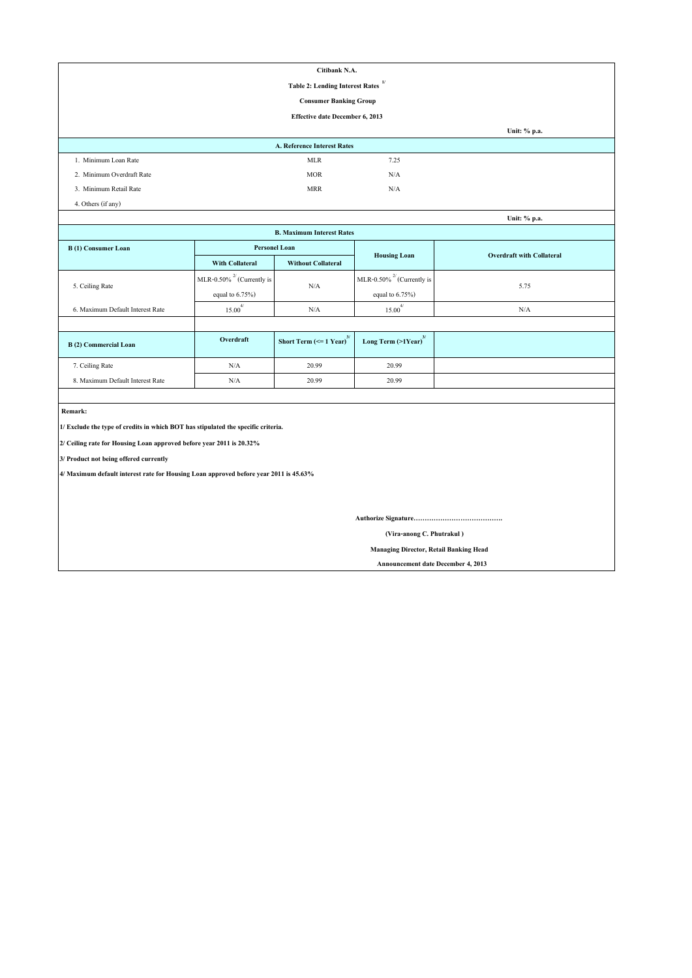| Citibank N.A.                                                                         |                                                       |                                           |                                  |                                  |  |  |  |  |
|---------------------------------------------------------------------------------------|-------------------------------------------------------|-------------------------------------------|----------------------------------|----------------------------------|--|--|--|--|
| 1/<br><b>Table 2: Lending Interest Rates</b>                                          |                                                       |                                           |                                  |                                  |  |  |  |  |
| <b>Consumer Banking Group</b>                                                         |                                                       |                                           |                                  |                                  |  |  |  |  |
|                                                                                       |                                                       | <b>Effective date December 6, 2013</b>    |                                  |                                  |  |  |  |  |
|                                                                                       |                                                       |                                           |                                  | Unit: % p.a.                     |  |  |  |  |
|                                                                                       |                                                       | A. Reference Interest Rates               |                                  |                                  |  |  |  |  |
| 1. Minimum Loan Rate                                                                  |                                                       | <b>MLR</b>                                | 7.25                             |                                  |  |  |  |  |
| 2. Minimum Overdraft Rate                                                             |                                                       | <b>MOR</b>                                | N/A                              |                                  |  |  |  |  |
| 3. Minimum Retail Rate                                                                |                                                       | <b>MRR</b>                                | N/A                              |                                  |  |  |  |  |
| 4. Others (if any)                                                                    |                                                       |                                           |                                  |                                  |  |  |  |  |
|                                                                                       |                                                       |                                           |                                  | Unit: % p.a.                     |  |  |  |  |
|                                                                                       |                                                       | <b>B. Maximum Interest Rates</b>          |                                  |                                  |  |  |  |  |
| <b>B</b> (1) Consumer Loan                                                            | <b>Personel Loan</b>                                  |                                           | <b>Housing Loan</b>              | <b>Overdraft with Collateral</b> |  |  |  |  |
|                                                                                       | <b>With Collateral</b>                                | <b>Without Collateral</b>                 |                                  |                                  |  |  |  |  |
|                                                                                       | MLR-0.50% <sup><math>^{27}</math></sup> (Currently is |                                           | MLR-0.50% $^{27}$ (Currently is  |                                  |  |  |  |  |
| 5. Ceiling Rate                                                                       | equal to $6.75\%$ )                                   | N/A                                       | equal to $6.75\%$ )              | 5.75                             |  |  |  |  |
| 6. Maximum Default Interest Rate                                                      | $15.00^{4/}$                                          | N/A                                       | $15.00^{4/}$                     | N/A                              |  |  |  |  |
|                                                                                       |                                                       |                                           |                                  |                                  |  |  |  |  |
| <b>B</b> (2) Commercial Loan                                                          | Overdraft                                             | Short Term ( $\leq 1$ Year) <sup>3/</sup> | Long Term (>1Year) <sup>3/</sup> |                                  |  |  |  |  |
| 7. Ceiling Rate                                                                       | $\rm N/A$                                             | 20.99                                     | 20.99                            |                                  |  |  |  |  |
| 8. Maximum Default Interest Rate                                                      | $\rm N/A$                                             | 20.99                                     | 20.99                            |                                  |  |  |  |  |
|                                                                                       |                                                       |                                           |                                  |                                  |  |  |  |  |
| Remark:                                                                               |                                                       |                                           |                                  |                                  |  |  |  |  |
| 1/ Exclude the type of credits in which BOT has stipulated the specific criteria.     |                                                       |                                           |                                  |                                  |  |  |  |  |
| 2/ Ceiling rate for Housing Loan approved before year 2011 is 20.32%                  |                                                       |                                           |                                  |                                  |  |  |  |  |
| 3/ Product not being offered currently                                                |                                                       |                                           |                                  |                                  |  |  |  |  |
| 4/ Maximum default interest rate for Housing Loan approved before year 2011 is 45.63% |                                                       |                                           |                                  |                                  |  |  |  |  |
|                                                                                       |                                                       |                                           |                                  |                                  |  |  |  |  |
|                                                                                       |                                                       |                                           |                                  |                                  |  |  |  |  |
|                                                                                       |                                                       |                                           |                                  |                                  |  |  |  |  |
| (Vira-anong C. Phutrakul)                                                             |                                                       |                                           |                                  |                                  |  |  |  |  |
|                                                                                       | <b>Managing Director, Retail Banking Head</b>         |                                           |                                  |                                  |  |  |  |  |

 **Announcement date December 4, 2013**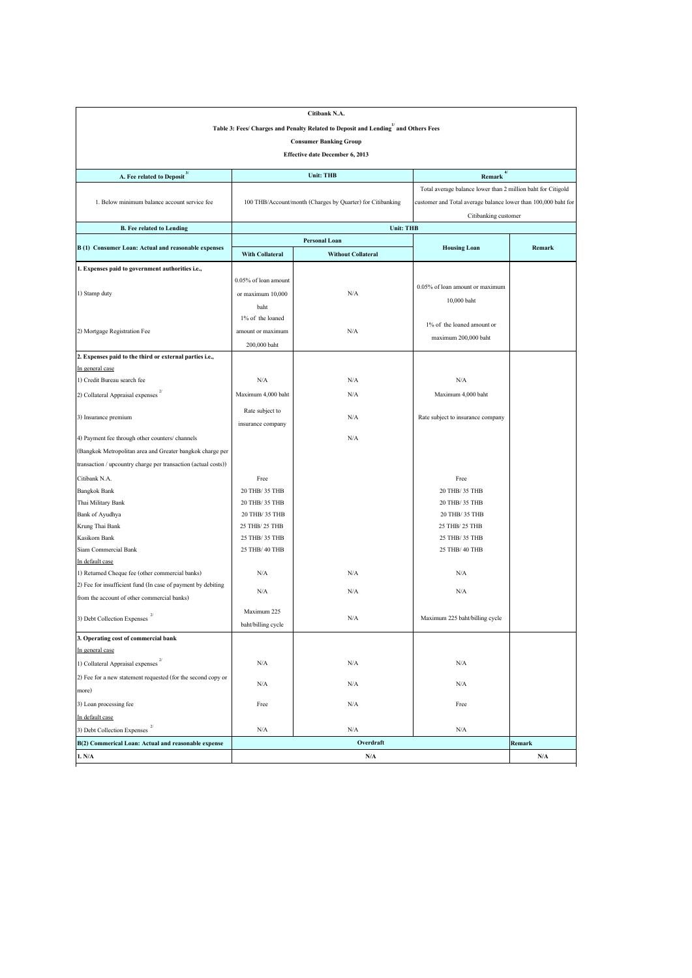|                                                                |                        | Citibank N.A.                                                                                  |                                                                |        |
|----------------------------------------------------------------|------------------------|------------------------------------------------------------------------------------------------|----------------------------------------------------------------|--------|
|                                                                |                        | Table 3: Fees/ Charges and Penalty Related to Deposit and Lending <sup>1</sup> and Others Fees |                                                                |        |
|                                                                |                        | <b>Consumer Banking Group</b>                                                                  |                                                                |        |
|                                                                |                        | <b>Effective date December 6, 2013</b>                                                         |                                                                |        |
| <b>A. Fee related to Deposit</b> <sup>3/</sup>                 |                        | <b>Unit: THB</b>                                                                               | Remark $\frac{4}{3}$                                           |        |
|                                                                |                        |                                                                                                |                                                                |        |
|                                                                |                        |                                                                                                | Total average balance lower than 2 million baht for Citigold   |        |
| 1. Below minimum balance account service fee                   |                        | 100 THB/Account/month (Charges by Quarter) for Citibanking                                     | customer and Total average balance lower than 100,000 baht for |        |
| <b>B.</b> Fee related to Lending                               |                        | <b>Unit: THB</b>                                                                               | Citibanking customer                                           |        |
|                                                                |                        | <b>Personal Loan</b>                                                                           |                                                                |        |
| B (1) Consumer Loan: Actual and reasonable expenses            | <b>With Collateral</b> | <b>Without Collateral</b>                                                                      | <b>Housing Loan</b>                                            | Remark |
| 1. Expenses paid to government authorities i.e.,               |                        |                                                                                                |                                                                |        |
|                                                                | 0.05% of loan amount   |                                                                                                |                                                                |        |
| 1) Stamp duty                                                  | or maximum 10,000      | N/A                                                                                            | 0.05% of loan amount or maximum                                |        |
|                                                                |                        |                                                                                                | 10,000 baht                                                    |        |
|                                                                | baht                   |                                                                                                |                                                                |        |
|                                                                | 1% of the loaned       |                                                                                                | 1% of the loaned amount or                                     |        |
| 2) Mortgage Registration Fee                                   | amount or maximum      | N/A                                                                                            | maximum 200,000 baht                                           |        |
|                                                                | 200,000 baht           |                                                                                                |                                                                |        |
| 2. Expenses paid to the third or external parties i.e.,        |                        |                                                                                                |                                                                |        |
| In general case                                                |                        |                                                                                                |                                                                |        |
| 1) Credit Bureau search fee                                    | N/A                    | N/A                                                                                            | N/A                                                            |        |
| 2/<br>2) Collateral Appraisal expenses                         | Maximum 4,000 baht     | N/A                                                                                            | Maximum 4,000 baht                                             |        |
| 3) Insurance premium                                           | Rate subject to        | N/A                                                                                            | Rate subject to insurance company                              |        |
|                                                                | insurance company      |                                                                                                |                                                                |        |
| 4) Payment fee through other counters/channels                 |                        | $\rm N/A$                                                                                      |                                                                |        |
| (Bangkok Metropolitan area and Greater bangkok charge per      |                        |                                                                                                |                                                                |        |
| transaction / upcountry charge per transaction (actual costs)) |                        |                                                                                                |                                                                |        |
| Citibank N.A.                                                  | Free                   |                                                                                                | Free                                                           |        |
| <b>Bangkok Bank</b>                                            | 20 THB/ 35 THB         |                                                                                                | 20 THB/ 35 THB                                                 |        |
| Thai Military Bank                                             | 20 THB/ 35 THB         |                                                                                                | 20 THB/ 35 THB                                                 |        |
| <b>Bank of Ayudhya</b>                                         | 20 THB/ 35 THB         |                                                                                                | 20 THB/ 35 THB                                                 |        |
| Krung Thai Bank                                                | 25 THB/ 25 THB         |                                                                                                | 25 THB/ 25 THB                                                 |        |
| Kasikorn Bank                                                  | 25 THB/ 35 THB         |                                                                                                | 25 THB/ 35 THB                                                 |        |
| Siam Commercial Bank                                           | 25 THB/ 40 THB         |                                                                                                | 25 THB/ 40 THB                                                 |        |
| In default case                                                |                        |                                                                                                |                                                                |        |
| 1) Returned Cheque fee (other commercial banks)                | N/A                    | N/A                                                                                            | N/A                                                            |        |
| (2) Fee for insufficient fund (In case of payment by debiting  |                        |                                                                                                |                                                                |        |
| from the account of other commercial banks)                    | N/A                    | N/A                                                                                            | N/A                                                            |        |
|                                                                | Maximum 225            |                                                                                                |                                                                |        |
| 3) Debt Collection Expenses                                    | baht/billing cycle     | N/A                                                                                            | Maximum 225 baht/billing cycle                                 |        |
| 3. Operating cost of commercial bank                           |                        |                                                                                                |                                                                |        |
| In general case                                                |                        |                                                                                                |                                                                |        |
| 1) Collateral Appraisal expenses                               | N/A                    | N/A                                                                                            | N/A                                                            |        |
| (2) Fee for a new statement requested (for the second copy or  |                        |                                                                                                |                                                                |        |
| more)                                                          | N/A                    | N/A                                                                                            | N/A                                                            |        |
| 3) Loan processing fee                                         | Free                   | N/A                                                                                            | Free                                                           |        |
| In default case                                                |                        |                                                                                                |                                                                |        |
| 2/<br>3) Debt Collection Expenses                              | N/A                    | N/A                                                                                            | N/A                                                            |        |
| B(2) Commerical Loan: Actual and reasonable expense            |                        | Overdraft                                                                                      |                                                                | Remark |
| 1. N/A                                                         |                        | N/A                                                                                            |                                                                | N/A    |
|                                                                |                        |                                                                                                |                                                                |        |